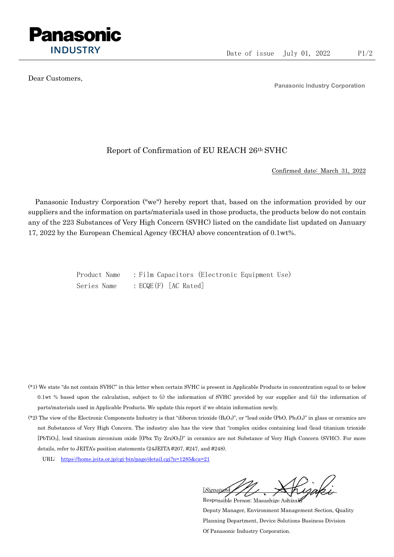

Dear Customers,

Panasonic Industry Corporation

## Report of Confirmation of EU REACH 26th SVHC

Confirmed date: March 31, 2022

Panasonic Industry Corporation ("we") hereby report that, based on the information provided by our suppliers and the information on parts/materials used in those products, the products below do not contain any of the 223 Substances of Very High Concern (SVHC) listed on the candidate list updated on January 17, 2022 by the European Chemical Agency (ECHA) above concentration of 0.1wt%.

> Product Name : Film Capacitors (Electronic Equipment Use) Series Name : ECQE(F) [AC Rated]

- (\*1) We state "do not contain SVHC" in this letter when certain SVHC is present in Applicable Products in concentration equal to or below 0.1wt % based upon the calculation, subject to (i) the information of SVHC provided by our supplier and (ii) the information of parts/materials used in Applicable Products. We update this report if we obtain information newly.
- (\*2) The view of the Electronic Components Industry is that "diboron trioxide  $(B_2O_3)$ ", or "lead oxide (PbO, Pb<sub>3</sub>O<sub>4</sub>)" in glass or ceramics are not Substances of Very High Concern. The industry also has the view that "complex oxides containing lead (lead titanium trioxide [PbTiO3], lead titanium zirconium oxide [(Pbx Tiy Zrz)O3])" in ceramics are not Substance of Very High Concern (SVHC). For more details, refer to JEITA's position statements (24JEITA #207, #247, and #248).
	- URL: https://home.jeita.or.jp/cgi-bin/page/detail.cgi?n=1285&ca=21

[Signature] Responsible Person: Masashige Ashizaki

Deputy Manager, Environment Management Section, Quality Planning Department, Device Solutions Business Division Of Panasonic Industry Corporation.